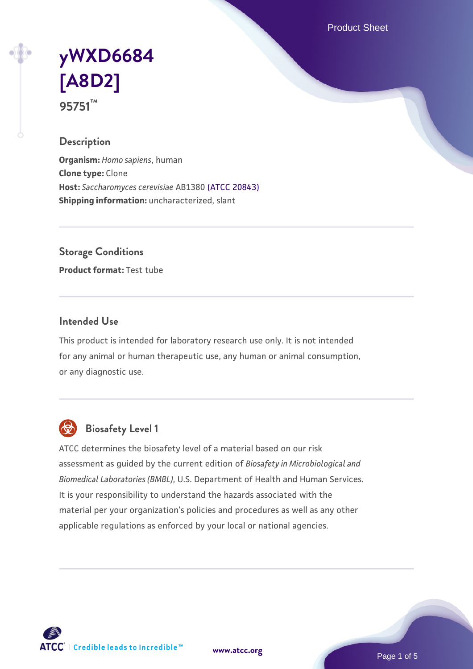Product Sheet

# **[yWXD6684](https://www.atcc.org/products/95751) [\[A8D2\]](https://www.atcc.org/products/95751) 95751™**

## **Description**

**Organism:** *Homo sapiens*, human **Clone type:** Clone **Host:** *Saccharomyces cerevisiae* AB1380 [\(ATCC 20843\)](https://www.atcc.org/products/20843) **Shipping information:** uncharacterized, slant

**Storage Conditions**

**Product format:** Test tube

## **Intended Use**

This product is intended for laboratory research use only. It is not intended for any animal or human therapeutic use, any human or animal consumption, or any diagnostic use.



# **Biosafety Level 1**

ATCC determines the biosafety level of a material based on our risk assessment as guided by the current edition of *Biosafety in Microbiological and Biomedical Laboratories (BMBL)*, U.S. Department of Health and Human Services. It is your responsibility to understand the hazards associated with the material per your organization's policies and procedures as well as any other applicable regulations as enforced by your local or national agencies.

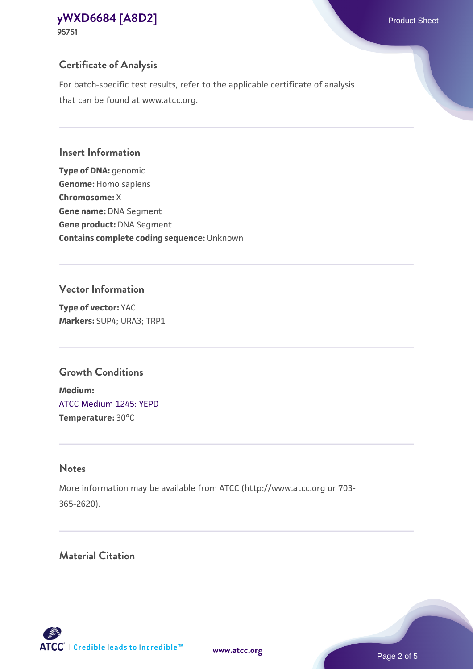# **Certificate of Analysis**

For batch-specific test results, refer to the applicable certificate of analysis that can be found at www.atcc.org.

#### **Insert Information**

**Type of DNA:** genomic **Genome:** Homo sapiens **Chromosome:** X **Gene name:** DNA Segment **Gene product:** DNA Segment **Contains complete coding sequence:** Unknown

#### **Vector Information**

**Type of vector:** YAC **Markers:** SUP4; URA3; TRP1

## **Growth Conditions**

**Medium:**  [ATCC Medium 1245: YEPD](https://www.atcc.org/-/media/product-assets/documents/microbial-media-formulations/1/2/4/5/atcc-medium-1245.pdf?rev=705ca55d1b6f490a808a965d5c072196) **Temperature:** 30°C

# **Notes**

More information may be available from ATCC (http://www.atcc.org or 703- 365-2620).

# **Material Citation**

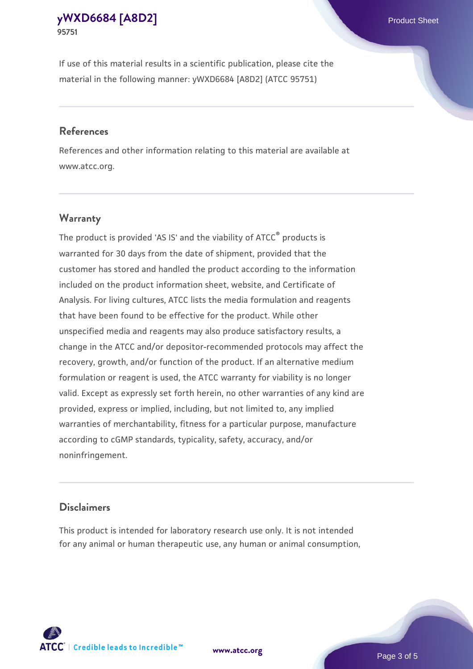If use of this material results in a scientific publication, please cite the material in the following manner: yWXD6684 [A8D2] (ATCC 95751)

#### **References**

References and other information relating to this material are available at www.atcc.org.

## **Warranty**

The product is provided 'AS IS' and the viability of  $ATCC<sup>®</sup>$  products is warranted for 30 days from the date of shipment, provided that the customer has stored and handled the product according to the information included on the product information sheet, website, and Certificate of Analysis. For living cultures, ATCC lists the media formulation and reagents that have been found to be effective for the product. While other unspecified media and reagents may also produce satisfactory results, a change in the ATCC and/or depositor-recommended protocols may affect the recovery, growth, and/or function of the product. If an alternative medium formulation or reagent is used, the ATCC warranty for viability is no longer valid. Except as expressly set forth herein, no other warranties of any kind are provided, express or implied, including, but not limited to, any implied warranties of merchantability, fitness for a particular purpose, manufacture according to cGMP standards, typicality, safety, accuracy, and/or noninfringement.

#### **Disclaimers**

This product is intended for laboratory research use only. It is not intended for any animal or human therapeutic use, any human or animal consumption,





Page 3 of 5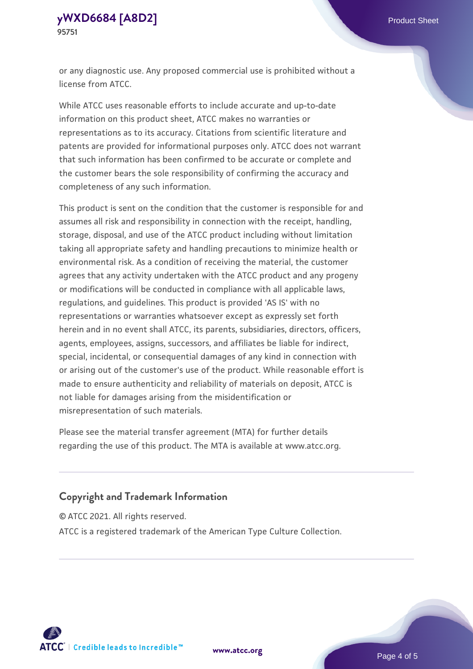or any diagnostic use. Any proposed commercial use is prohibited without a license from ATCC.

While ATCC uses reasonable efforts to include accurate and up-to-date information on this product sheet, ATCC makes no warranties or representations as to its accuracy. Citations from scientific literature and patents are provided for informational purposes only. ATCC does not warrant that such information has been confirmed to be accurate or complete and the customer bears the sole responsibility of confirming the accuracy and completeness of any such information.

This product is sent on the condition that the customer is responsible for and assumes all risk and responsibility in connection with the receipt, handling, storage, disposal, and use of the ATCC product including without limitation taking all appropriate safety and handling precautions to minimize health or environmental risk. As a condition of receiving the material, the customer agrees that any activity undertaken with the ATCC product and any progeny or modifications will be conducted in compliance with all applicable laws, regulations, and guidelines. This product is provided 'AS IS' with no representations or warranties whatsoever except as expressly set forth herein and in no event shall ATCC, its parents, subsidiaries, directors, officers, agents, employees, assigns, successors, and affiliates be liable for indirect, special, incidental, or consequential damages of any kind in connection with or arising out of the customer's use of the product. While reasonable effort is made to ensure authenticity and reliability of materials on deposit, ATCC is not liable for damages arising from the misidentification or misrepresentation of such materials.

Please see the material transfer agreement (MTA) for further details regarding the use of this product. The MTA is available at www.atcc.org.

## **Copyright and Trademark Information**

© ATCC 2021. All rights reserved.

ATCC is a registered trademark of the American Type Culture Collection.



**[www.atcc.org](http://www.atcc.org)**

Page 4 of 5